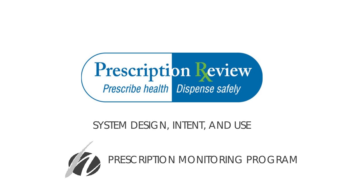

### SYSTEM DESIGN, INTENT, AND USE



PRESCRIPTION MONITORING PROGRAM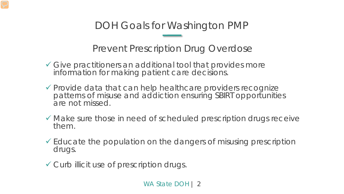DOH Goals for Washington PMP

Prevent Prescription Drug Overdose

- Give practitioners an additional tool that provides more information for making patient care decisions.
- Provide data that can help healthcare providers recognize patterns of misuse and addiction ensuring SBIRT opportunities are not missed.
- Make sure those in need of scheduled prescription drugs receive them.
- $\checkmark$  Educate the population on the dangers of misusing prescription drugs.
- Curb illicit use of prescription drugs.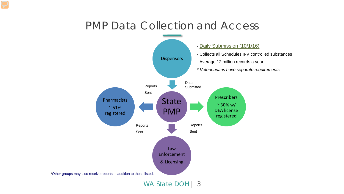### PMP Data Collection and Access



WA State DOH | 3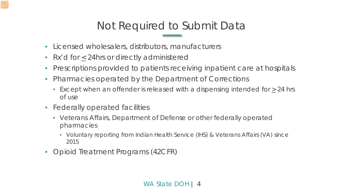## Not Required to Submit Data

- Licensed wholesalers, distributors, manufacturers
- Rx'd for  $\leq$  24hrs or directly administered
- Prescriptions provided to patients receiving inpatient care at hospitals
- Pharmacies operated by the Department of Corrections
	- Except when an offender is released with a dispensing intended for  $\geq$  24 hrs of use
- Federally operated facilities
	- Veterans Affairs, Department of Defense or other federally operated pharmacies
		- Voluntary reporting from Indian Health Service (IHS) & Veterans Affairs (VA) since 2015
- Opioid Treatment Programs (42CFR)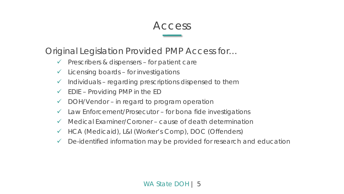#### Access

Original Legislation Provided PMP Access for…

- $\checkmark$  Prescribers & dispensers for patient care
- $\checkmark$  Licensing boards for investigations
- $\checkmark$  Individuals regarding prescriptions dispensed to them
- $\checkmark$  EDIE Providing PMP in the ED
- $\checkmark$  DOH/Vendor in regard to program operation
- $\checkmark$  Law Enforcement/Prosecutor for bona fide investigations
- $\checkmark$  Medical Examiner/Coroner cause of death determination
- HCA (Medicaid), L&I (Worker's Comp), DOC (Offenders)
- De-identified information may be provided for research and education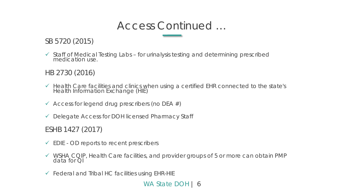### Access Continued …

SB 5720 (2015)

 $\checkmark$  Staff of Medical Testing Labs – for urinalysis testing and determining prescribed medication use.

HB 2730 (2016)

- Health Care facilities and clinics when using a certified EHR connected to the state's Health Information Exchange (HIE)
- $\checkmark$  Access for legend drug prescribers (no DEA  $\#$ )
- $\checkmark$  Delegate Access for DOH licensed Pharmacy Staff

ESHB 1427 (2017)

- $\checkmark$  EDIE OD reports to recent prescribers
- WSHA CQIP, Health Care facilities, and provider groups of 5 or more can obtain PMP data for QI
- $\checkmark$  Federal and Tribal HC facilities using EHR-HIE

WA State DOH | 6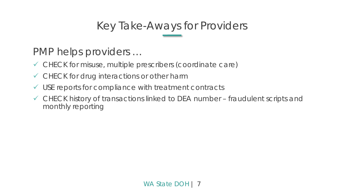## Key Take-Aways for Providers

### PMP helps providers …

- CHECK for misuse, multiple prescribers (coordinate care)
- CHECK for drug interactions or other harm
- $\checkmark$  USE reports for compliance with treatment contracts
- CHECK history of transactions linked to DEA number fraudulent scripts and monthly reporting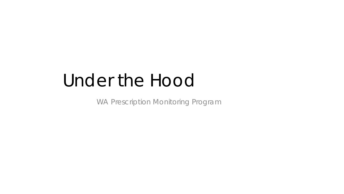# Under the Hood

WA Prescription Monitoring Program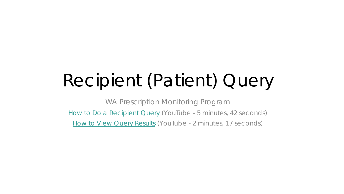# Recipient (Patient) Query

WA Prescription Monitoring Program [How to Do a Recipient Query](https://youtu.be/QQv07xmr1nw) (YouTube - 5 minutes, 42 seconds) [How to View Query Results](http://youtu.be/3ctolcn6410) (YouTube - 2 minutes, 17 seconds)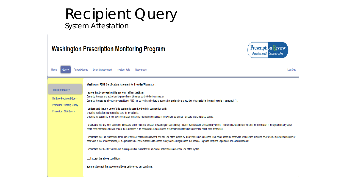#### Recipient Query System Attestation

#### **Washington Prescription Monitoring Program**



| <b>Report Queue</b><br>Home<br>Query                                                                                        | <b>User Management</b><br>Log Out<br>System Help<br>Resources                                                                                                                                                                                                                                                                                                                                                                                                                                                                                                                                                                                                                                                                                                                                                                                                                                                                                                                                                                                                                                      |
|-----------------------------------------------------------------------------------------------------------------------------|----------------------------------------------------------------------------------------------------------------------------------------------------------------------------------------------------------------------------------------------------------------------------------------------------------------------------------------------------------------------------------------------------------------------------------------------------------------------------------------------------------------------------------------------------------------------------------------------------------------------------------------------------------------------------------------------------------------------------------------------------------------------------------------------------------------------------------------------------------------------------------------------------------------------------------------------------------------------------------------------------------------------------------------------------------------------------------------------------|
| <b>Recipient Query</b><br><b>Multiple Recipient Query</b><br><b>Prescriber History Query</b><br><b>Prescriber DEA Query</b> | <b>Washington PDMP Certification Statement for Provider/Pharmacist</b><br>I agree that by accessing this system, I affirm that I am<br>Currently licensed and authorized to prescribe or dispense controlled substances; or<br>Currently licensed as a health care practitioner AND I am currently authorized to access this system by a prescriber who meets the the requirements in paragraph (1).<br>I understand that my use of this system is permitted only in connection with:<br>providing medical or pharmaceutical care for my patients.<br>providing my patient his or her own prescription monitoring information contained in the system, so long as I am sure of the patient's identity.<br>I understand that any other access or disclosure of PMP data is a violation of Washington law and may result in civil sanctions or disciplinary action. I further understand that I will treat the information in the system a<br>health care information and will protect the information in my possession in accordance with federal and state laws governing health care information. |
|                                                                                                                             | I understand that I am responsible for all use of my user name and password, and any use of the system by a provider I have authorized. I will never share my password with anyone, including co-workers. If any authenticatio<br>password is lost or compromised, or if a provider who I have authorized to access the system no longer needs that access, I agree to notify the Department of Health immediately.<br>I understand that the PMP will conduct auditing activities to monitor for unusual or potentially unauthorized use of the system.<br>$\Box$ I accept the above conditions<br>You must accept the above conditions before you can continue.                                                                                                                                                                                                                                                                                                                                                                                                                                   |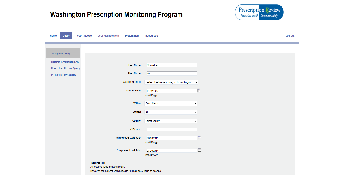| <b>Washington Prescription Monitoring Program</b>                                                                                      | Prescription Review<br>Prescribe health Dispense safely              |         |
|----------------------------------------------------------------------------------------------------------------------------------------|----------------------------------------------------------------------|---------|
| <b>Report Queue</b><br><b>User Management</b><br>Query<br>System Help<br>Home                                                          | <b>Resources</b>                                                     | Log Out |
| <b>Recipient Query</b>                                                                                                                 |                                                                      |         |
| <b>Multiple Recipient Query</b><br>*Last Name:<br><b>Prescriber History Query</b><br>*First Name:<br><b>Prescriber DEA Query</b>       | Skywalker<br>luke                                                    |         |
| <b>Search Method:</b>                                                                                                                  | Fastest: Last name equals, first name begins<br>$\blacktriangledown$ |         |
| *Date of Birth:                                                                                                                        | Te.<br>01/12/1977<br>mm/dd/yyyy                                      |         |
| Within:<br>Gender                                                                                                                      | <b>Exact Match</b><br>$\pmb{\mathrm{v}}$<br>All<br>▼                 |         |
| County:                                                                                                                                | <b>Select County</b><br>▼                                            |         |
| <b>ZIP Code:</b><br>*Dispensed Start Date:                                                                                             | Œ<br>08/20/2013                                                      |         |
| *Dispensed End Date:                                                                                                                   | mm/dd/yyyy<br>P.<br>08/20/2014<br>mm/dd/yyyy                         |         |
| *Required Field<br>All required fields must be filled in.<br>However, for the best search results, fill in as many fields as possible. |                                                                      |         |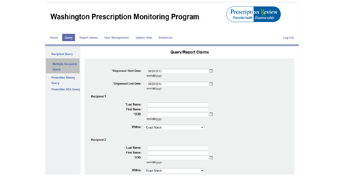| <b>Prescription Review</b><br><b>Washington Prescription Monitoring Program</b><br>Prescribe health Dispense safely |                                                                                                                               |                                                                                                                  |                                              |  |  |
|---------------------------------------------------------------------------------------------------------------------|-------------------------------------------------------------------------------------------------------------------------------|------------------------------------------------------------------------------------------------------------------|----------------------------------------------|--|--|
| Query<br>Home                                                                                                       | <b>Report Queue</b><br><b>User Management</b>                                                                                 | <b>System Help</b><br><b>Resources</b>                                                                           | Log Out                                      |  |  |
| <b>Recipient Query</b>                                                                                              |                                                                                                                               | <b>Query/Report Claims</b>                                                                                       |                                              |  |  |
| <b>Multiple Recipient</b><br>Query<br><b>Prescriber History</b><br>Query<br><b>Prescriber DEA Query</b>             | *Dispensed Start Date:<br>*Dispensed End Date:<br><b>Recipient 1</b><br>*Last Name:<br><b>First Name:</b><br>*DOB:<br>Within: | 08/20/2013<br>mm/dd/yyyy<br>08/20/2014<br>mm/dd/yyyy<br>mm/dd/yyyy<br><b>Exact Match</b><br>$\blacktriangledown$ | $\Box$<br>$\overline{\phantom{a}}$<br>$\Box$ |  |  |
|                                                                                                                     | <b>Recipient 2</b><br><b>Last Name:</b><br><b>First Name:</b><br>DOB:<br>Within:                                              | mm/dd/yyyy<br><b>Exact Match</b><br>$\blacktriangledown$                                                         | $\Box$                                       |  |  |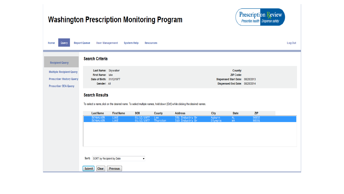| <b>Washington Prescription Monitoring Program</b>                                                 |                                                                                      |                   |                                 |                 |                                                                                                                           |                   |                                                                                                   | <b>Prescription Review</b><br>Prescribe health Dispense safely |         |
|---------------------------------------------------------------------------------------------------|--------------------------------------------------------------------------------------|-------------------|---------------------------------|-----------------|---------------------------------------------------------------------------------------------------------------------------|-------------------|---------------------------------------------------------------------------------------------------|----------------------------------------------------------------|---------|
| Query<br>Home                                                                                     | <b>Report Queue</b><br><b>User Management</b>                                        |                   | System Help<br><b>Resources</b> |                 |                                                                                                                           |                   |                                                                                                   |                                                                | Log Out |
| <b>Recipient Query</b>                                                                            | <b>Search Criteria</b>                                                               |                   |                                 |                 |                                                                                                                           |                   |                                                                                                   |                                                                |         |
| <b>Multiple Recipient Query</b><br><b>Prescriber History Query</b><br><b>Prescriber DEA Query</b> | Last Name: Skywalker<br>First Name: luke<br>Date of Birth: 01/12/1977<br>Gender: All |                   |                                 |                 |                                                                                                                           |                   | County:<br><b>ZIP Code:</b><br>Dispensed Start Date: 08/20/2013<br>Dispensed End Date: 08/20/2014 |                                                                |         |
|                                                                                                   | <b>Search Results</b>                                                                |                   |                                 |                 | To select a name, click on the desired name. To select multiple names, hold down [Ctrl] while clicking the desired names. |                   |                                                                                                   |                                                                |         |
|                                                                                                   | <b>Last Name</b>                                                                     | <b>First Name</b> | <b>DOB</b>                      | <b>County</b>   | <b>Address</b>                                                                                                            | City              | <b>State</b>                                                                                      | <b>ZIP</b>                                                     |         |
|                                                                                                   | <b>SKYWALKER</b><br><b>SKYWALKER</b>                                                 | LUKE<br>LUKE      | 01/12/1977<br>01/12/1977        | Lee<br>Thurston | 391 Industry Dr<br>310 Industry Dr                                                                                        | Auburn<br>Olympia | <b>AL</b><br><b>WA</b>                                                                            | 36832<br>98501                                                 |         |
|                                                                                                   | SORT by Recipient by Date<br>Sort:<br>Clear<br><b>Submit</b>                         | <b>Previous</b>   | ▼                               |                 |                                                                                                                           |                   |                                                                                                   |                                                                |         |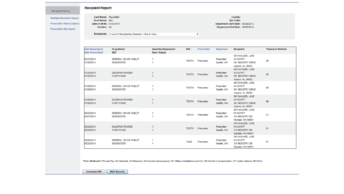#### **Recipient Report**

**Multiple Recipient Query** 

**Recipient Query** 

**Prescriber History Query** 

**Prescriber DEA Query** 

Last Name: Skywalker First Name: luke Date of Birth: 01/12/1977 Gender: All

#### County: Zip Code: Dispensed Start Date: 08/20/2013 Dispensed End Date: 08/20/2014

Recipients: 2 out of 2 Recipient(s) Selected - Click to View

| Date Dispensed/<br><b>Date Prescribed</b> | Drug Name/<br><b>NDC</b>              | <b>Quantity Dispensed/</b><br><b>Days Supply</b> | RX#               | Prescriber | <b>Dispenser</b>          | Recipient                                                               | *Payment Method |
|-------------------------------------------|---------------------------------------|--------------------------------------------------|-------------------|------------|---------------------------|-------------------------------------------------------------------------|-----------------|
| 03/31/2014<br>01/20/2014                  | DEMEROL 100 MG TABLET<br>00024033705  | 1<br>1                                           | TEST01            | Prescriber | Prescriber<br>Seattle, WA | SKYWALKER, LUKE<br>01/12/1977<br>391 INDUSTRY DRIVE<br>Auburn, AL 36832 | 99              |
| 01/20/2014<br>01/20/2014                  | <b>DIAZEPAM POWDER</b><br>51927101400 | -1<br>-1                                         | TEST01            | Prescriber | Prescriber<br>Seattle, WA | SKYWALKER, LUKE<br>01/12/1977<br>391 INDUSTRY DRIVE<br>Auburn, AL 36832 | 99              |
| 01/08/2014<br>01/08/2014                  | DEMEROL 100 MG TABLET<br>00024033705  | -1<br>1                                          | <b>TEST01</b>     | Prescriber | Prescriber<br>Seattle, WA | SKYWALKER, LUKE<br>01/12/1977<br>391 INDUSTRY DRIVE<br>Auburn, AL 36832 | 99              |
| 01/08/2014<br>01/08/2014                  | <b>DIAZEPAM POWDER</b><br>51927101400 | 1<br>1                                           | TEST01            | Prescriber | Prescriber<br>Seattle, WA | SKYWALKER, LUKE<br>01/12/1977<br>391 INDUSTRY DRIVE<br>Auburn, AL 36832 | 99              |
| 05/22/2014<br>05/21/2014                  | DEMEROL 100 MG TABLET<br>00024033705  | -1<br>1                                          | <b>TEST01</b>     | Prescriber | Prescriber<br>Seattle, WA | SKYWALKER, LUKE<br>01/12/1977<br>310 INDUSTRY DR<br>Olympia, WA 98501   | 01              |
| 05/22/2014<br>05/22/2014                  | <b>DIAZEPAM POWDER</b><br>51927101400 | 1<br>-1                                          | <b>TEST01</b>     | Prescriber | Prescriber<br>Seattle, WA | SKYWALKER, LUKE<br>01/12/1977<br>310 INDUSTRY DR<br>Olympia, WA 98501   | 01              |
| 05/20/2014<br>05/20/2014                  | DEMEROL 100 MG TABLET<br>00024033705  | 1<br>1                                           | Test <sub>2</sub> | Prescriber | Prescriber<br>Seattle, WA | SKYWALKER, LUKE<br>01/12/1977<br>310 INDUSTRY DR<br>Olympia, WA 98501   | 01              |

 $\overline{\phantom{a}}$ 

\*Pmt. Method:01=Private Pay; 02=Medicaid; 03=Medicare; 04=Commercial Insurance; 05= Military Installations and VA; 06=Worker's Compensation; 07= Indian Nations; 99=Other

**MAP Results Generate PDF**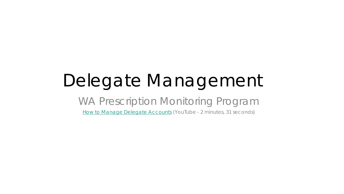# Delegate Management

### WA Prescription Monitoring Program

[How to Manage Delegate Accounts](https://youtu.be/65BAi2TxUhc) (YouTube - 2 minutes, 31 seconds)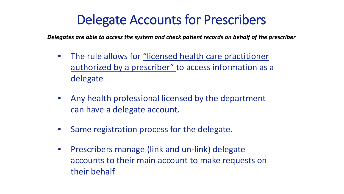## Delegate Accounts for Prescribers

*Delegates are able to access the system and check patient records on behalf of the prescriber*

- The rule allows for "licensed health care practitioner authorized by a prescriber" to access information as a delegate
- Any health professional licensed by the department can have a delegate account.
- Same registration process for the delegate.
- Prescribers manage (link and un-link) delegate accounts to their main account to make requests on their behalf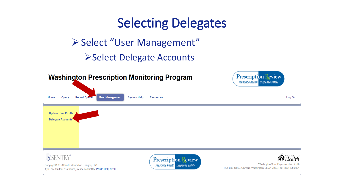#### Selecting Delegates ▶ Select "User Management" **≻Select Delegate Accounts Washington Prescription Monitoring Program Prescription Review Prescribe health Dispense safely User Management Report Queue System Help** Log Out Home Querv **Resources Update User Profile Delegate Accounts** RESENTRY® Health **Prescription Review** Prescribe health Dispense safely Washington State Department of Health Copyright © 2013 Health Information Designs, LLC P.O. Box 47852, Olympia, Washington, 98504-7852, Fax: (360) 236-2901 If you need further assistance, please contact the PDMP Help Desk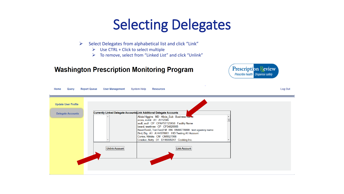## Selecting Delegates

- $\triangleright$  Select Delegates from alphabetical list and click "Link"
	- $\triangleright$  Use CTRL + Click to select multiple
	- $\triangleright$  To remove, select from "Linked List" and click "Unlink"

#### **Washington Prescription Monitoring Program**



| Home<br>Query                                          | <b>Report Queue</b><br><b>User Management</b> | <b>System Help</b><br><b>Resources</b>                                                                                                                                                                                                                                                                                                    | Log Out |
|--------------------------------------------------------|-----------------------------------------------|-------------------------------------------------------------------------------------------------------------------------------------------------------------------------------------------------------------------------------------------------------------------------------------------------------------------------------------------|---------|
| <b>Update User Profile</b><br><b>Delegate Accounts</b> |                                               | Currently Linked Delegate Accounts Link Additional Delegate Accounts<br>Alicia Higgins MD Alicia_Sub Business Ivante<br>arora, mohit A1 A112345<br>asdf, asdf CP CPAPST123456 Facility Name<br>beard, testthree CP CP34826665<br>BeardTest2, TomTest2 M RN RN88778899 test agaency name<br>Bird, Big A1 A144578901 HID Testing A1 Account |         |
|                                                        | Unlink Account                                | Cortes, Nikkita CM CM8527968<br>Crocker, Betty D1 D148005347 Cooking Inc.<br><b>Link Account</b>                                                                                                                                                                                                                                          |         |
|                                                        |                                               |                                                                                                                                                                                                                                                                                                                                           |         |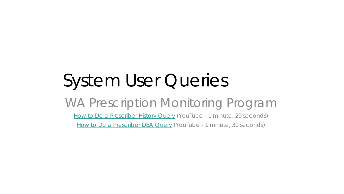# System User Queries

### WA Prescription Monitoring Program [How to Do a Prescriber History Query](https://youtu.be/sdtGdU08Z8A) (YouTube - 1 minute, 29 seconds)

[How to Do a Prescriber DEA Query](https://youtu.be/LklQkfvm6Vw) (YouTube - 1 minute, 30 seconds)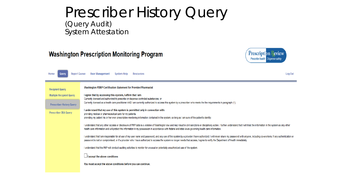#### Prescriber History Query (Query Audit) System Attestation

#### **Washington Prescription Monitoring Program**



| <b>Report Queue</b><br>Home<br>Querv                                                                                        | <b>User Management</b><br>Log Out<br>System Help<br>Resources                                                                                                                                                                                                                                                                                                                                                                                                                                                                                                                                                                                                                                                                                                                                                                                                                                                                                                                                                                                                                                                                                                                                                                                                                                                                                                                                                                                                                                                      |
|-----------------------------------------------------------------------------------------------------------------------------|--------------------------------------------------------------------------------------------------------------------------------------------------------------------------------------------------------------------------------------------------------------------------------------------------------------------------------------------------------------------------------------------------------------------------------------------------------------------------------------------------------------------------------------------------------------------------------------------------------------------------------------------------------------------------------------------------------------------------------------------------------------------------------------------------------------------------------------------------------------------------------------------------------------------------------------------------------------------------------------------------------------------------------------------------------------------------------------------------------------------------------------------------------------------------------------------------------------------------------------------------------------------------------------------------------------------------------------------------------------------------------------------------------------------------------------------------------------------------------------------------------------------|
| <b>Recipient Query</b><br><b>Multiple Recipient Query</b><br><b>Prescriber History Query</b><br><b>Prescriber DEA Query</b> | Washington PDMP Certification Statement for Provider/Pharmacist<br>I agree that by accessing this system, I affirm that I am<br>Currently licensed and authorized to prescribe or dispense controlled substances; or<br>Currently licensed as a health care practitioner AND I am currently authorized to access this system by a prescriber who meets the the requirements in paragraph (1).<br>I understand that my use of this system is permitted only in connection with:<br>providing medical or pharmaceutical care for my patients.<br>providing my patient his or her own prescription monitoring information contained in the system, so long as I am sure of the patient's identity.<br>I understand that any other access or disclosure of PMP data is a violation of Washington law and may result in civil sanctions or disciplinary action. I further understand that I will treat the information in the system a<br>health care information and will protect the information in my possession in accordance with federal and state laws governing health care information.<br>I understand that I am responsible for all use of my user name and password, and any use of the system by a provider I have authorized. I will never share my password with anyone, including co-workers. If any authenticatio<br>password is lost or compromised, or if a provider who I have authorized to access the system no longer needs that access, I agree to notify the Department of Health immediately. |
|                                                                                                                             | I understand that the PMP will conduct auditing activities to monitor for unusual or potentially unauthorized use of the system.<br>$\Box$ I accept the above conditions<br>You must accept the above conditions before you can continue.                                                                                                                                                                                                                                                                                                                                                                                                                                                                                                                                                                                                                                                                                                                                                                                                                                                                                                                                                                                                                                                                                                                                                                                                                                                                          |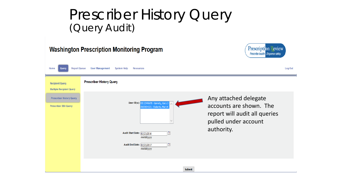## Prescriber History Query (Query Audit)

| <b>Prescription Review</b><br><b>Washington Prescription Monitoring Program</b><br>Prescribe health Dispense safely |                                                                                                                                                                                                     |                                                                                                                         |  |  |  |  |
|---------------------------------------------------------------------------------------------------------------------|-----------------------------------------------------------------------------------------------------------------------------------------------------------------------------------------------------|-------------------------------------------------------------------------------------------------------------------------|--|--|--|--|
| <b>Report Queue</b><br>Home<br>Query                                                                                | <b>User Management</b><br>System Help<br>Resources                                                                                                                                                  | Log Out                                                                                                                 |  |  |  |  |
| <b>Recipient Query</b><br><b>Multiple Recipient Query</b>                                                           | <b>Prescriber History Query</b>                                                                                                                                                                     |                                                                                                                         |  |  |  |  |
| <b>Prescriber History Query</b><br><b>Prescriber DEA Query</b>                                                      | User ID(s): DE12345678 - Garrety, Gary J<br>IR87654321 - Roberts, Mary K<br>œ<br>Audit Start Date: 02/23/2016<br>mm/dd/yyyy<br>$\overline{\phantom{a}}$<br>Audit End Date: 02/23/2017<br>mm/dd/yyyy | Any attached delegate<br>accounts are shown. The<br>report will audit all queries<br>pulled under account<br>authority. |  |  |  |  |
|                                                                                                                     | <b>Submit</b>                                                                                                                                                                                       |                                                                                                                         |  |  |  |  |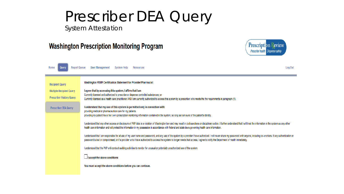## Prescriber DEA Query

System Attestation

#### **Washington Prescription Monitoring Program**



| <b>Report Queue</b><br>Home<br>Query                               | Log Out<br><b>User Management</b><br>System Help<br>Resources                                                                                                                                                                                                                                                                                                                                                       |
|--------------------------------------------------------------------|---------------------------------------------------------------------------------------------------------------------------------------------------------------------------------------------------------------------------------------------------------------------------------------------------------------------------------------------------------------------------------------------------------------------|
| <b>Recipient Query</b>                                             | Washington PDMP Certification Statement for Provider/Pharmacist                                                                                                                                                                                                                                                                                                                                                     |
| <b>Multiple Recipient Query</b><br><b>Prescriber History Query</b> | I agree that by accessing this system, I affirm that I am<br>Currently licensed and authorized to prescribe or dispense controlled substances; or<br>Currently licensed as a health care practitioner AND I am currently authorized to access this system by a prescriber who meets the the requirements in paragraph (1).                                                                                          |
| <b>Prescriber DEA Query</b>                                        | I understand that my use of this system is permitted only in connection with:<br>providing medical or pharmaceutical care for my patients.<br>providing my patient his or her own prescription monitoring information contained in the system, so long as I am sure of the patient's identity.                                                                                                                      |
|                                                                    | I understand that any other access or disclosure of PMP data is a violation of Washington law and may result in civil sanctions or disciplinary action. I further understand that I will treat the information in the system a<br>health care information and will protect the information in my possession in accordance with federal and state laws governing health care information.                            |
|                                                                    | I understand that I am responsible for all use of my user name and password, and any use of the system by a provider I have authorized. I will never share my password with anyone, including co-workers. If any authenticatio<br>password is lost or compromised, or if a provider who I have authorized to access the system no longer needs that access, I agree to notify the Department of Health immediately. |
|                                                                    | I understand that the PMP will conduct auditing activities to monitor for unusual or potentially unauthorized use of the system.                                                                                                                                                                                                                                                                                    |
|                                                                    | $\Box$ I accept the above conditions                                                                                                                                                                                                                                                                                                                                                                                |
|                                                                    | You must accept the above conditions before you can continue.                                                                                                                                                                                                                                                                                                                                                       |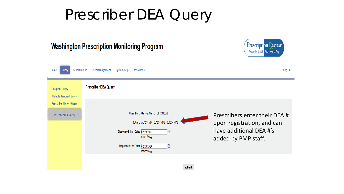## Prescriber DEA Query

|                                                                                                                      | <b>Washington Prescription Monitoring Program</b>                                                                                                                                                                                 | <b>Prescription Peview</b><br>Prescribe health Dispense safely                                                |
|----------------------------------------------------------------------------------------------------------------------|-----------------------------------------------------------------------------------------------------------------------------------------------------------------------------------------------------------------------------------|---------------------------------------------------------------------------------------------------------------|
| <b>Report Queue</b><br>Home<br>Query                                                                                 | <b>User Management</b><br>System Help<br>Resources                                                                                                                                                                                | Log Out                                                                                                       |
| <b>Recipient Query</b><br><b>Multiple Recipient Query</b><br><b>Prescriber History Query</b><br>Prescriber DEA Query | <b>Prescriber DEA Query</b><br>User ID(s): Garrety, Gary J - DE12345678<br>DEA(s): AB1234567, DE12345678, DE12345678<br>P<br>Dispensed Start Date: 02/23/2016<br>mm/dd/yyyy<br>Te<br>Dispensed End Date: 02/23/2017<br>mm/dd/yyyy | Prescribers enter their DEA #<br>upon registration, and can<br>have additional DEA #'s<br>added by PMP staff. |
|                                                                                                                      | <b>Submit</b>                                                                                                                                                                                                                     |                                                                                                               |